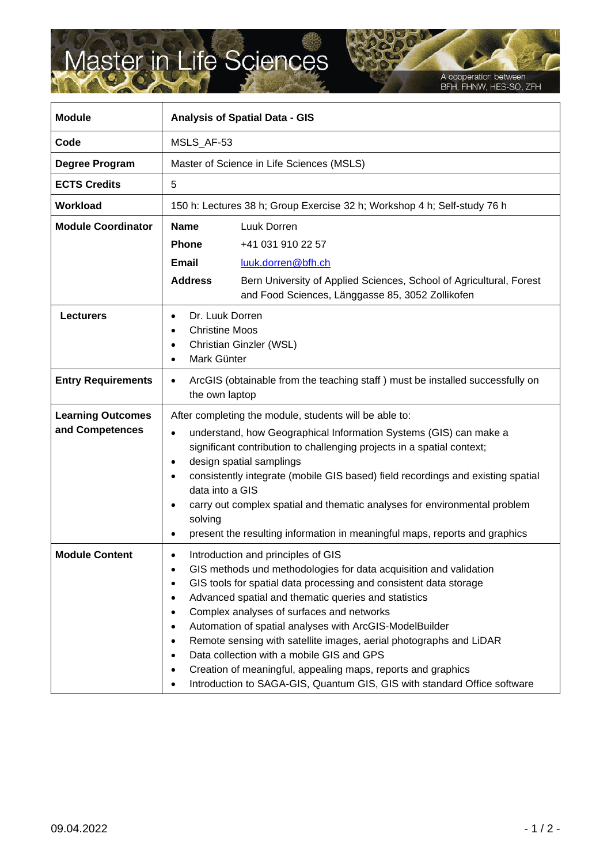## Master in Life Sciences

A cooperation between<br>BFH, FHNW, HES-SO, ZFH

| <b>Module</b>                               | <b>Analysis of Spatial Data - GIS</b>                                                                                                                                                                                                                                                                                                                                                                                                                                                                                                                                                                                                                |
|---------------------------------------------|------------------------------------------------------------------------------------------------------------------------------------------------------------------------------------------------------------------------------------------------------------------------------------------------------------------------------------------------------------------------------------------------------------------------------------------------------------------------------------------------------------------------------------------------------------------------------------------------------------------------------------------------------|
| Code                                        | MSLS AF-53                                                                                                                                                                                                                                                                                                                                                                                                                                                                                                                                                                                                                                           |
| <b>Degree Program</b>                       | Master of Science in Life Sciences (MSLS)                                                                                                                                                                                                                                                                                                                                                                                                                                                                                                                                                                                                            |
| <b>ECTS Credits</b>                         | 5                                                                                                                                                                                                                                                                                                                                                                                                                                                                                                                                                                                                                                                    |
| Workload                                    | 150 h: Lectures 38 h; Group Exercise 32 h; Workshop 4 h; Self-study 76 h                                                                                                                                                                                                                                                                                                                                                                                                                                                                                                                                                                             |
| <b>Module Coordinator</b>                   | <b>Name</b><br>Luuk Dorren<br><b>Phone</b><br>+41 031 910 22 57<br><b>Email</b><br>luuk.dorren@bfh.ch<br><b>Address</b><br>Bern University of Applied Sciences, School of Agricultural, Forest                                                                                                                                                                                                                                                                                                                                                                                                                                                       |
| <b>Lecturers</b>                            | and Food Sciences, Länggasse 85, 3052 Zollikofen<br>Dr. Luuk Dorren<br>$\bullet$<br><b>Christine Moos</b><br>$\bullet$<br>Christian Ginzler (WSL)<br>$\bullet$<br>Mark Günter<br>$\bullet$                                                                                                                                                                                                                                                                                                                                                                                                                                                           |
| <b>Entry Requirements</b>                   | ArcGIS (obtainable from the teaching staff) must be installed successfully on<br>$\bullet$<br>the own laptop                                                                                                                                                                                                                                                                                                                                                                                                                                                                                                                                         |
| <b>Learning Outcomes</b><br>and Competences | After completing the module, students will be able to:<br>understand, how Geographical Information Systems (GIS) can make a<br>$\bullet$<br>significant contribution to challenging projects in a spatial context;<br>design spatial samplings<br>٠<br>consistently integrate (mobile GIS based) field recordings and existing spatial<br>data into a GIS<br>carry out complex spatial and thematic analyses for environmental problem<br>solving<br>present the resulting information in meaningful maps, reports and graphics                                                                                                                      |
| <b>Module Content</b>                       | Introduction and principles of GIS<br>٠<br>GIS methods und methodologies for data acquisition and validation<br>GIS tools for spatial data processing and consistent data storage<br>Advanced spatial and thematic queries and statistics<br>Complex analyses of surfaces and networks<br>$\bullet$<br>Automation of spatial analyses with ArcGIS-ModelBuilder<br>٠<br>Remote sensing with satellite images, aerial photographs and LiDAR<br>٠<br>Data collection with a mobile GIS and GPS<br>$\bullet$<br>Creation of meaningful, appealing maps, reports and graphics<br>Introduction to SAGA-GIS, Quantum GIS, GIS with standard Office software |